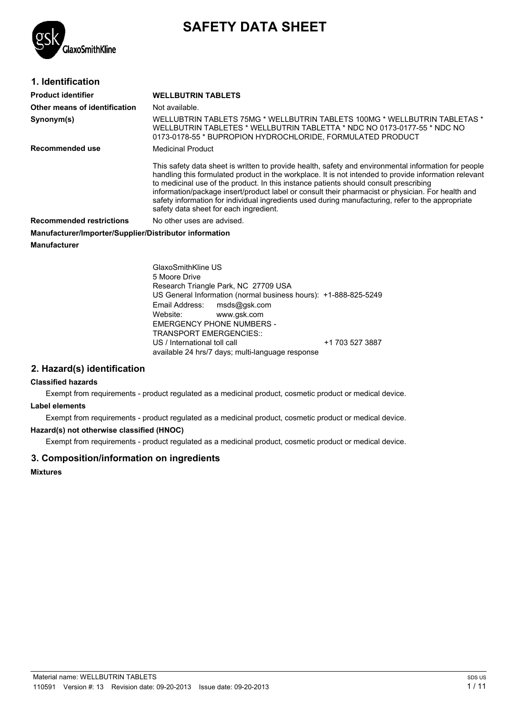

# **SAFETY DATA SHEET**

| 1. Identification                                      |                                                                                                                                                                                                                                                                                                                                                                                                                                                                                                                                                            |
|--------------------------------------------------------|------------------------------------------------------------------------------------------------------------------------------------------------------------------------------------------------------------------------------------------------------------------------------------------------------------------------------------------------------------------------------------------------------------------------------------------------------------------------------------------------------------------------------------------------------------|
| <b>Product identifier</b>                              | <b>WELLBUTRIN TABLETS</b>                                                                                                                                                                                                                                                                                                                                                                                                                                                                                                                                  |
| Other means of identification                          | Not available.                                                                                                                                                                                                                                                                                                                                                                                                                                                                                                                                             |
| Synonym(s)                                             | WELLUBTRIN TABLETS 75MG * WELLBUTRIN TABLETS 100MG * WELLBUTRIN TABLETAS *<br>WELLBUTRIN TABLETES * WELLBUTRIN TABLETTA * NDC NO 0173-0177-55 * NDC NO<br>0173-0178-55 * BUPROPION HYDROCHLORIDE, FORMULATED PRODUCT                                                                                                                                                                                                                                                                                                                                       |
| Recommended use                                        | Medicinal Product                                                                                                                                                                                                                                                                                                                                                                                                                                                                                                                                          |
|                                                        | This safety data sheet is written to provide health, safety and environmental information for people<br>handling this formulated product in the workplace. It is not intended to provide information relevant<br>to medicinal use of the product. In this instance patients should consult prescribing<br>information/package insert/product label or consult their pharmacist or physician. For health and<br>safety information for individual ingredients used during manufacturing, refer to the appropriate<br>safety data sheet for each ingredient. |
| <b>Recommended restrictions</b>                        | No other uses are advised.                                                                                                                                                                                                                                                                                                                                                                                                                                                                                                                                 |
| Manufacturer/Importer/Supplier/Distributor information |                                                                                                                                                                                                                                                                                                                                                                                                                                                                                                                                                            |
| <b>Manufacturer</b>                                    |                                                                                                                                                                                                                                                                                                                                                                                                                                                                                                                                                            |

GlaxoSmithKline US 5 Moore Drive Research Triangle Park, NC 27709 USA US General Information (normal business hours): +1-888-825-5249 Email Address: msds@gsk.com Website: www.gsk.com EMERGENCY PHONE NUMBERS - TRANSPORT EMERGENCIES:: US / International toll call  $+1$  703 527 3887 available 24 hrs/7 days; multi-language response

# **2. Hazard(s) identification**

#### **Classified hazards**

Exempt from requirements - product regulated as a medicinal product, cosmetic product or medical device.

## **Label elements**

Exempt from requirements - product regulated as a medicinal product, cosmetic product or medical device.

#### **Hazard(s) not otherwise classified (HNOC)**

Exempt from requirements - product regulated as a medicinal product, cosmetic product or medical device.

## **3. Composition/information on ingredients**

**Mixtures**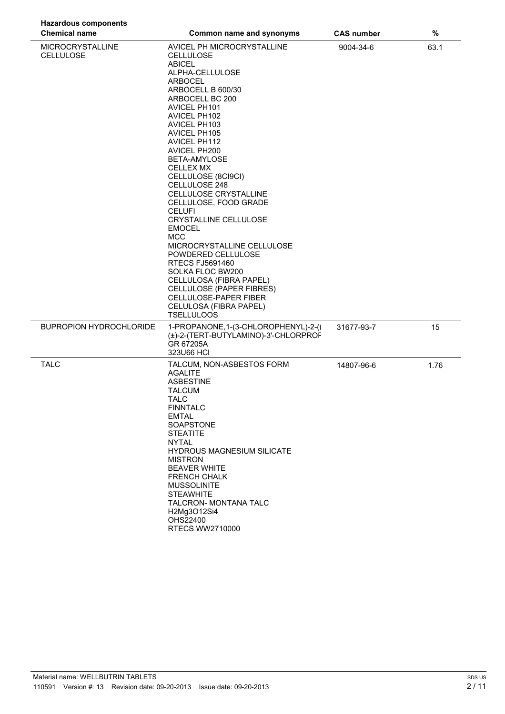| <b>Hazardous components</b>                 |                                                                                                                                                                                                                                                                                                                                                                                                                                                                                                                                                                                                                                                                                                          |                   |      |
|---------------------------------------------|----------------------------------------------------------------------------------------------------------------------------------------------------------------------------------------------------------------------------------------------------------------------------------------------------------------------------------------------------------------------------------------------------------------------------------------------------------------------------------------------------------------------------------------------------------------------------------------------------------------------------------------------------------------------------------------------------------|-------------------|------|
| <b>Chemical name</b>                        | Common name and synonyms                                                                                                                                                                                                                                                                                                                                                                                                                                                                                                                                                                                                                                                                                 | <b>CAS number</b> | $\%$ |
| <b>MICROCRYSTALLINE</b><br><b>CELLULOSE</b> | AVICEL PH MICROCRYSTALLINE<br><b>CELLULOSE</b><br><b>ABICEL</b><br>ALPHA-CELLULOSE<br><b>ARBOCEL</b><br>ARBOCELL B 600/30<br>ARBOCELL BC 200<br><b>AVICEL PH101</b><br>AVICEL PH102<br>AVICEL PH103<br><b>AVICEL PH105</b><br><b>AVICEL PH112</b><br>AVICEL PH200<br>BETA-AMYLOSE<br><b>CELLEX MX</b><br>CELLULOSE (8CI9CI)<br>CELLULOSE 248<br>CELLULOSE CRYSTALLINE<br>CELLULOSE, FOOD GRADE<br><b>CELUFI</b><br>CRYSTALLINE CELLULOSE<br><b>EMOCEL</b><br><b>MCC</b><br>MICROCRYSTALLINE CELLULOSE<br>POWDERED CELLULOSE<br><b>RTECS FJ5691460</b><br>SOLKA FLOC BW200<br>CELLULOSA (FIBRA PAPEL)<br>CELLULOSE (PAPER FIBRES)<br>CELLULOSE-PAPER FIBER<br>CELULOSA (FIBRA PAPEL)<br><b>TSELLULOOS</b> | 9004-34-6         | 63.1 |
| <b>BUPROPION HYDROCHLORIDE</b>              | 1-PROPANONE, 1-(3-CHLOROPHENYL)-2-((<br>(±)-2-(TERT-BUTYLAMINO)-3'-CHLORPROF<br>GR 67205A<br>323U66 HCI                                                                                                                                                                                                                                                                                                                                                                                                                                                                                                                                                                                                  | 31677-93-7        | 15   |
| <b>TALC</b>                                 | TALCUM, NON-ASBESTOS FORM<br><b>AGALITE</b><br><b>ASBESTINE</b><br><b>TALCUM</b><br><b>TALC</b><br><b>FINNTALC</b><br><b>EMTAL</b><br>SOAPSTONE<br><b>STEATITE</b><br><b>NYTAL</b><br><b>HYDROUS MAGNESIUM SILICATE</b><br><b>MISTRON</b><br><b>BEAVER WHITE</b><br><b>FRENCH CHALK</b><br><b>MUSSOLINITE</b><br><b>STEAWHITE</b><br>TALCRON- MONTANA TALC<br>H2Mg3O12Si4<br>OHS22400<br><b>RTECS WW2710000</b>                                                                                                                                                                                                                                                                                          | 14807-96-6        | 1.76 |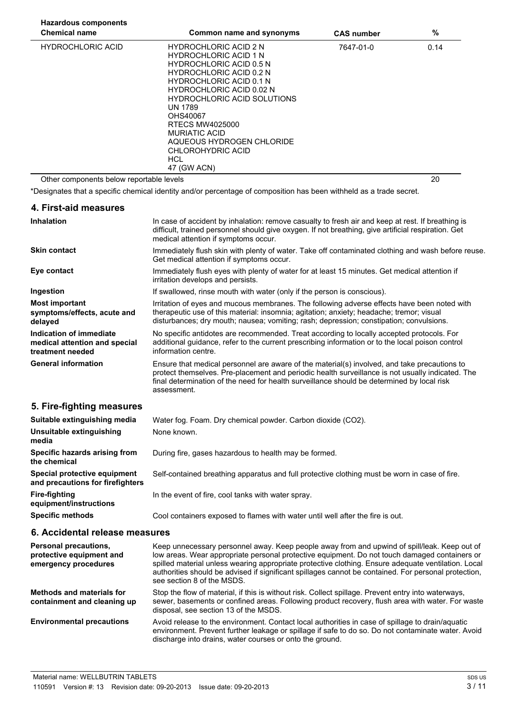| <b>Hazardous components</b>              |                                                                                                                                                                                                                                                                                |                   |      |
|------------------------------------------|--------------------------------------------------------------------------------------------------------------------------------------------------------------------------------------------------------------------------------------------------------------------------------|-------------------|------|
| <b>Chemical name</b>                     | Common name and synonyms                                                                                                                                                                                                                                                       | <b>CAS number</b> | %    |
| <b>HYDROCHLORIC ACID</b>                 | <b>HYDROCHLORIC ACID 2 N</b><br><b>HYDROCHLORIC ACID 1 N</b><br><b>HYDROCHLORIC ACID 0.5 N</b><br><b>HYDROCHLORIC ACID 0.2 N</b><br><b>HYDROCHLORIC ACID 0.1 N</b><br><b>HYDROCHLORIC ACID 0.02 N</b><br>HYDROCHLORIC ACID SOLUTIONS<br>UN 1789<br>OHS40067<br>RTECS MW4025000 | 7647-01-0         | 0.14 |
|                                          | MURIATIC ACID<br>AQUEOUS HYDROGEN CHLORIDE<br>CHLOROHYDRIC ACID<br>HCL<br>47 (GW ACN)                                                                                                                                                                                          |                   |      |
| Other components below reportable levels |                                                                                                                                                                                                                                                                                |                   | 20   |

\*Designates that a specific chemical identity and/or percentage of composition has been withheld as a trade secret.

| 4. First-aid measures                                                        |                                                                                                                                                                                                                                                                                                               |  |
|------------------------------------------------------------------------------|---------------------------------------------------------------------------------------------------------------------------------------------------------------------------------------------------------------------------------------------------------------------------------------------------------------|--|
| <b>Inhalation</b>                                                            | In case of accident by inhalation: remove casualty to fresh air and keep at rest. If breathing is<br>difficult, trained personnel should give oxygen. If not breathing, give artificial respiration. Get<br>medical attention if symptoms occur.                                                              |  |
| <b>Skin contact</b>                                                          | Immediately flush skin with plenty of water. Take off contaminated clothing and wash before reuse.<br>Get medical attention if symptoms occur.                                                                                                                                                                |  |
| Eye contact                                                                  | Immediately flush eyes with plenty of water for at least 15 minutes. Get medical attention if<br>irritation develops and persists.                                                                                                                                                                            |  |
| Ingestion                                                                    | If swallowed, rinse mouth with water (only if the person is conscious).                                                                                                                                                                                                                                       |  |
| <b>Most important</b><br>symptoms/effects, acute and<br>delayed              | Irritation of eyes and mucous membranes. The following adverse effects have been noted with<br>therapeutic use of this material: insomnia; agitation; anxiety; headache; tremor; visual<br>disturbances; dry mouth; nausea; vomiting; rash; depression; constipation; convulsions.                            |  |
| Indication of immediate<br>medical attention and special<br>treatment needed | No specific antidotes are recommended. Treat according to locally accepted protocols. For<br>additional guidance, refer to the current prescribing information or to the local poison control<br>information centre.                                                                                          |  |
| <b>General information</b>                                                   | Ensure that medical personnel are aware of the material(s) involved, and take precautions to<br>protect themselves. Pre-placement and periodic health surveillance is not usually indicated. The<br>final determination of the need for health surveillance should be determined by local risk<br>assessment. |  |
| 5. Fire-fighting measures                                                    |                                                                                                                                                                                                                                                                                                               |  |
| Suitable extinguishing media                                                 | Water fog. Foam. Dry chemical powder. Carbon dioxide (CO2).                                                                                                                                                                                                                                                   |  |
| Unsuitable extinguishing<br>media                                            | None known.                                                                                                                                                                                                                                                                                                   |  |
| Specific hazards arising from<br>the chemical                                | During fire, gases hazardous to health may be formed.                                                                                                                                                                                                                                                         |  |
| Special protective equipment<br>and precautions for firefighters             | Self-contained breathing apparatus and full protective clothing must be worn in case of fire.                                                                                                                                                                                                                 |  |
| <b>Fire-fighting</b>                                                         | In the event of fire, cool tanks with water spray.                                                                                                                                                                                                                                                            |  |

**Specific methods** Cool containers exposed to flames with water until well after the fire is out.

## **6. Accidental release measures**

**equipment/instructions**

| <b>Personal precautions,</b><br>protective equipment and<br>emergency procedures | Keep unnecessary personnel away. Keep people away from and upwind of spill/leak. Keep out of<br>low areas. Wear appropriate personal protective equipment. Do not touch damaged containers or<br>spilled material unless wearing appropriate protective clothing. Ensure adequate ventilation. Local<br>authorities should be advised if significant spillages cannot be contained. For personal protection,<br>see section 8 of the MSDS. |
|----------------------------------------------------------------------------------|--------------------------------------------------------------------------------------------------------------------------------------------------------------------------------------------------------------------------------------------------------------------------------------------------------------------------------------------------------------------------------------------------------------------------------------------|
| Methods and materials for<br>containment and cleaning up                         | Stop the flow of material, if this is without risk. Collect spillage. Prevent entry into waterways,<br>sewer, basements or confined areas. Following product recovery, flush area with water. For waste<br>disposal, see section 13 of the MSDS.                                                                                                                                                                                           |
| <b>Environmental precautions</b>                                                 | Avoid release to the environment. Contact local authorities in case of spillage to drain/aquatic<br>environment. Prevent further leakage or spillage if safe to do so. Do not contaminate water. Avoid<br>discharge into drains, water courses or onto the ground.                                                                                                                                                                         |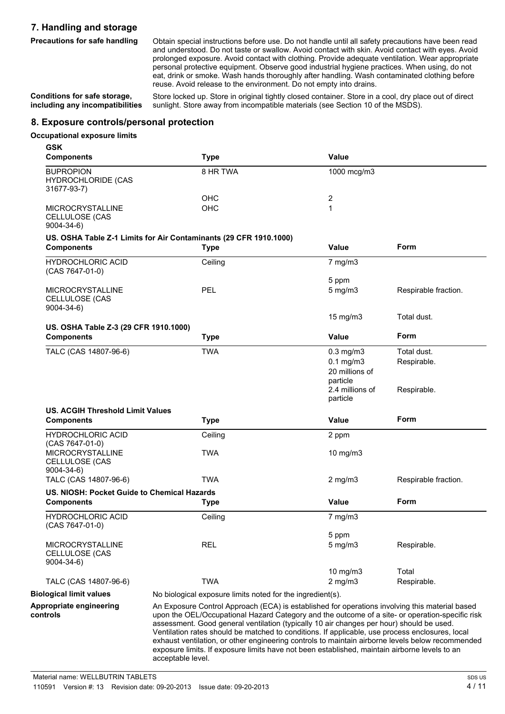# **7. Handling and storage**

**Precautions for safe handling** Obtain special instructions before use. Do not handle until all safety precautions have been read and understood. Do not taste or swallow. Avoid contact with skin. Avoid contact with eyes. Avoid prolonged exposure. Avoid contact with clothing. Provide adequate ventilation. Wear appropriate personal protective equipment. Observe good industrial hygiene practices. When using, do not eat, drink or smoke. Wash hands thoroughly after handling. Wash contaminated clothing before reuse. Avoid release to the environment. Do not empty into drains.

**Conditions for safe storage, including any incompatibilities**

Store locked up. Store in original tightly closed container. Store in a cool, dry place out of direct sunlight. Store away from incompatible materials (see Section 10 of the MSDS).

## **8. Exposure controls/personal protection**

## **Occupational exposure limits**

**GSK**

| <b>Components</b>                                                                                                                                                                                                                                                                                                                                                                                                                                                                                                                                                                                                                                                 | <b>Type</b>                                                                      | <b>Value</b>                                                   |                            |
|-------------------------------------------------------------------------------------------------------------------------------------------------------------------------------------------------------------------------------------------------------------------------------------------------------------------------------------------------------------------------------------------------------------------------------------------------------------------------------------------------------------------------------------------------------------------------------------------------------------------------------------------------------------------|----------------------------------------------------------------------------------|----------------------------------------------------------------|----------------------------|
| <b>BUPROPION</b><br><b>HYDROCHLORIDE (CAS</b><br>31677-93-7)                                                                                                                                                                                                                                                                                                                                                                                                                                                                                                                                                                                                      | 8 HR TWA                                                                         | 1000 mcg/m3                                                    |                            |
|                                                                                                                                                                                                                                                                                                                                                                                                                                                                                                                                                                                                                                                                   | <b>OHC</b>                                                                       | 2                                                              |                            |
| <b>MICROCRYSTALLINE</b><br>CELLULOSE (CAS<br>$9004 - 34 - 6$                                                                                                                                                                                                                                                                                                                                                                                                                                                                                                                                                                                                      | OHC                                                                              | 1                                                              |                            |
| <b>Components</b>                                                                                                                                                                                                                                                                                                                                                                                                                                                                                                                                                                                                                                                 | US. OSHA Table Z-1 Limits for Air Contaminants (29 CFR 1910.1000)<br><b>Type</b> | Value                                                          | Form                       |
| <b>HYDROCHLORIC ACID</b><br>(CAS 7647-01-0)                                                                                                                                                                                                                                                                                                                                                                                                                                                                                                                                                                                                                       | Ceiling                                                                          | $7$ mg/m $3$                                                   |                            |
|                                                                                                                                                                                                                                                                                                                                                                                                                                                                                                                                                                                                                                                                   |                                                                                  | 5 ppm                                                          |                            |
| <b>MICROCRYSTALLINE</b><br>CELLULOSE (CAS<br>9004-34-6)                                                                                                                                                                                                                                                                                                                                                                                                                                                                                                                                                                                                           | <b>PEL</b>                                                                       | $5$ mg/m $3$                                                   | Respirable fraction.       |
|                                                                                                                                                                                                                                                                                                                                                                                                                                                                                                                                                                                                                                                                   |                                                                                  | $15 \text{ mg/m}$                                              | Total dust.                |
| US. OSHA Table Z-3 (29 CFR 1910.1000)                                                                                                                                                                                                                                                                                                                                                                                                                                                                                                                                                                                                                             |                                                                                  |                                                                |                            |
| <b>Components</b>                                                                                                                                                                                                                                                                                                                                                                                                                                                                                                                                                                                                                                                 | <b>Type</b>                                                                      | <b>Value</b>                                                   | Form                       |
| TALC (CAS 14807-96-6)                                                                                                                                                                                                                                                                                                                                                                                                                                                                                                                                                                                                                                             | <b>TWA</b>                                                                       | $0.3$ mg/m $3$<br>$0.1$ mg/m $3$<br>20 millions of<br>particle | Total dust.<br>Respirable. |
|                                                                                                                                                                                                                                                                                                                                                                                                                                                                                                                                                                                                                                                                   |                                                                                  | 2.4 millions of<br>particle                                    | Respirable.                |
| <b>US. ACGIH Threshold Limit Values</b>                                                                                                                                                                                                                                                                                                                                                                                                                                                                                                                                                                                                                           |                                                                                  |                                                                |                            |
| <b>Components</b>                                                                                                                                                                                                                                                                                                                                                                                                                                                                                                                                                                                                                                                 | <b>Type</b>                                                                      | Value                                                          | <b>Form</b>                |
| <b>HYDROCHLORIC ACID</b><br>(CAS 7647-01-0)                                                                                                                                                                                                                                                                                                                                                                                                                                                                                                                                                                                                                       | Ceiling                                                                          | 2 ppm                                                          |                            |
| <b>MICROCRYSTALLINE</b><br>CELLULOSE (CAS<br>9004-34-6)                                                                                                                                                                                                                                                                                                                                                                                                                                                                                                                                                                                                           | <b>TWA</b>                                                                       | $10$ mg/m $3$                                                  |                            |
| TALC (CAS 14807-96-6)                                                                                                                                                                                                                                                                                                                                                                                                                                                                                                                                                                                                                                             | <b>TWA</b>                                                                       | $2$ mg/m $3$                                                   | Respirable fraction.       |
| US. NIOSH: Pocket Guide to Chemical Hazards                                                                                                                                                                                                                                                                                                                                                                                                                                                                                                                                                                                                                       |                                                                                  |                                                                |                            |
| <b>Components</b>                                                                                                                                                                                                                                                                                                                                                                                                                                                                                                                                                                                                                                                 | <b>Type</b>                                                                      | <b>Value</b>                                                   | Form                       |
| <b>HYDROCHLORIC ACID</b><br>(CAS 7647-01-0)                                                                                                                                                                                                                                                                                                                                                                                                                                                                                                                                                                                                                       | Ceiling                                                                          | $7$ mg/m $3$                                                   |                            |
|                                                                                                                                                                                                                                                                                                                                                                                                                                                                                                                                                                                                                                                                   |                                                                                  | 5 ppm                                                          |                            |
| <b>MICROCRYSTALLINE</b><br>CELLULOSE (CAS<br>$9004 - 34 - 6$                                                                                                                                                                                                                                                                                                                                                                                                                                                                                                                                                                                                      | <b>REL</b>                                                                       | $5 \text{ mg/m}$                                               | Respirable.                |
|                                                                                                                                                                                                                                                                                                                                                                                                                                                                                                                                                                                                                                                                   |                                                                                  | 10 mg/m3                                                       | Total                      |
| TALC (CAS 14807-96-6)                                                                                                                                                                                                                                                                                                                                                                                                                                                                                                                                                                                                                                             | <b>TWA</b>                                                                       | $2$ mg/m $3$                                                   | Respirable.                |
| <b>Biological limit values</b>                                                                                                                                                                                                                                                                                                                                                                                                                                                                                                                                                                                                                                    | No biological exposure limits noted for the ingredient(s).                       |                                                                |                            |
| Appropriate engineering<br>An Exposure Control Approach (ECA) is established for operations involving this material based<br>upon the OEL/Occupational Hazard Category and the outcome of a site- or operation-specific risk<br>controls<br>assessment. Good general ventilation (typically 10 air changes per hour) should be used.<br>Ventilation rates should be matched to conditions. If applicable, use process enclosures, local<br>exhaust ventilation, or other engineering controls to maintain airborne levels below recommended<br>exposure limits. If exposure limits have not been established, maintain airborne levels to an<br>acceptable level. |                                                                                  |                                                                |                            |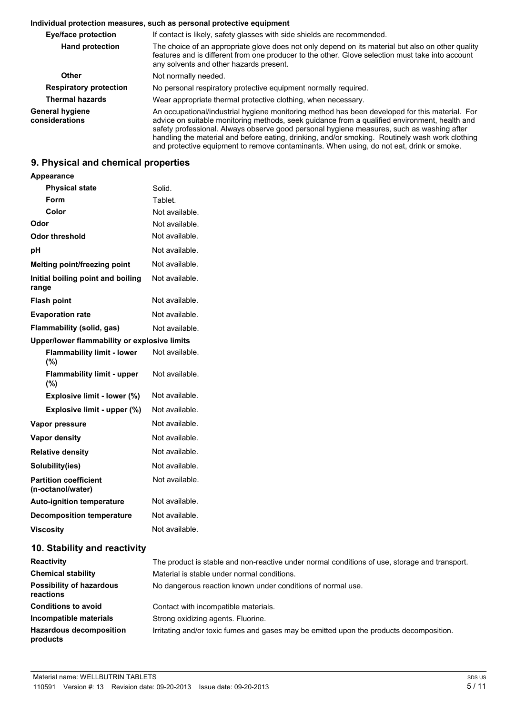#### **Individual protection measures, such as personal protective equipment**

| <b>Eye/face protection</b>        | If contact is likely, safety glasses with side shields are recommended.                                                                                                                                                                                                                                                                                                                                                                                                                     |  |  |
|-----------------------------------|---------------------------------------------------------------------------------------------------------------------------------------------------------------------------------------------------------------------------------------------------------------------------------------------------------------------------------------------------------------------------------------------------------------------------------------------------------------------------------------------|--|--|
| <b>Hand protection</b>            | The choice of an appropriate glove does not only depend on its material but also on other quality<br>features and is different from one producer to the other. Glove selection must take into account<br>any solvents and other hazards present.                                                                                                                                                                                                                                            |  |  |
| Other                             | Not normally needed.                                                                                                                                                                                                                                                                                                                                                                                                                                                                        |  |  |
| <b>Respiratory protection</b>     | No personal respiratory protective equipment normally required.                                                                                                                                                                                                                                                                                                                                                                                                                             |  |  |
| <b>Thermal hazards</b>            | Wear appropriate thermal protective clothing, when necessary.                                                                                                                                                                                                                                                                                                                                                                                                                               |  |  |
| General hygiene<br>considerations | An occupational/industrial hygiene monitoring method has been developed for this material. For<br>advice on suitable monitoring methods, seek guidance from a qualified environment, health and<br>safety professional. Always observe good personal hygiene measures, such as washing after<br>handling the material and before eating, drinking, and/or smoking. Routinely wash work clothing<br>and protective equipment to remove contaminants. When using, do not eat, drink or smoke. |  |  |

# **9. Physical and chemical properties**

# **Appearance**

| <b>Physical state</b>                             | Solid.         |
|---------------------------------------------------|----------------|
| <b>Form</b>                                       | Tablet.        |
| Color                                             | Not available. |
| Odor                                              | Not available. |
| <b>Odor threshold</b>                             | Not available. |
| pH                                                | Not available. |
| Melting point/freezing point                      | Not available. |
| Initial boiling point and boiling<br>range        | Not available. |
| <b>Flash point</b>                                | Not available. |
| <b>Evaporation rate</b>                           | Not available. |
| Flammability (solid, gas)                         | Not available. |
| Upper/lower flammability or explosive limits      |                |
| <b>Flammability limit - lower</b><br>(%)          | Not available. |
| <b>Flammability limit - upper</b><br>(%)          | Not available. |
| Explosive limit - lower (%)                       | Not available. |
| Explosive limit - upper (%)                       | Not available. |
| Vapor pressure                                    | Not available. |
| <b>Vapor density</b>                              | Not available. |
| <b>Relative density</b>                           | Not available. |
| Solubility(ies)                                   | Not available. |
| <b>Partition coefficient</b><br>(n-octanol/water) | Not available. |
| <b>Auto-ignition temperature</b>                  | Not available. |
| <b>Decomposition temperature</b>                  | Not available. |
| <b>Viscosity</b>                                  | Not available. |
|                                                   |                |

## **10. Stability and reactivity**

| <b>Reactivity</b>                            | The product is stable and non-reactive under normal conditions of use, storage and transport. |  |  |
|----------------------------------------------|-----------------------------------------------------------------------------------------------|--|--|
| <b>Chemical stability</b>                    | Material is stable under normal conditions.                                                   |  |  |
| <b>Possibility of hazardous</b><br>reactions | No dangerous reaction known under conditions of normal use.                                   |  |  |
| <b>Conditions to avoid</b>                   | Contact with incompatible materials.                                                          |  |  |
| Incompatible materials                       | Strong oxidizing agents. Fluorine.                                                            |  |  |
| <b>Hazardous decomposition</b><br>products   | Irritating and/or toxic fumes and gases may be emitted upon the products decomposition.       |  |  |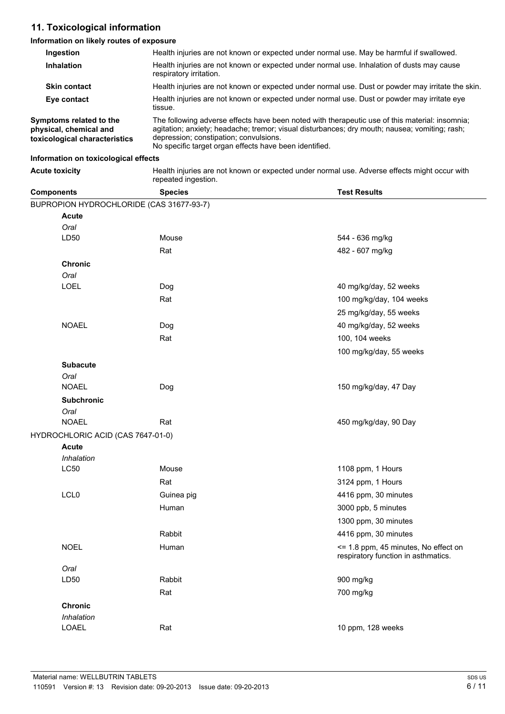# **11. Toxicological information**

## **Information on likely routes of exposure**

| <b>Ingestion</b>                                                                   | Health injuries are not known or expected under normal use. May be harmful if swallowed.                                                                                                                                                                                                            |  |  |
|------------------------------------------------------------------------------------|-----------------------------------------------------------------------------------------------------------------------------------------------------------------------------------------------------------------------------------------------------------------------------------------------------|--|--|
| <b>Inhalation</b>                                                                  | Health injuries are not known or expected under normal use. Inhalation of dusts may cause<br>respiratory irritation.                                                                                                                                                                                |  |  |
| <b>Skin contact</b>                                                                | Health injuries are not known or expected under normal use. Dust or powder may irritate the skin.                                                                                                                                                                                                   |  |  |
| Eye contact                                                                        | Health injuries are not known or expected under normal use. Dust or powder may irritate eye<br>tissue.                                                                                                                                                                                              |  |  |
| Symptoms related to the<br>physical, chemical and<br>toxicological characteristics | The following adverse effects have been noted with therapeutic use of this material: insomnia;<br>agitation; anxiety; headache; tremor; visual disturbances; dry mouth; nausea; vomiting; rash;<br>depression; constipation; convulsions.<br>No specific target organ effects have been identified. |  |  |

## **Information on toxicological effects**

| <b>Acute toxicity</b> | Health injuries are not known or expected under normal use. Adverse effects might occur with |
|-----------------------|----------------------------------------------------------------------------------------------|
|                       | repeated ingestion.                                                                          |

| <b>Components</b>                        | <b>Species</b> | <b>Test Results</b>                                                         |
|------------------------------------------|----------------|-----------------------------------------------------------------------------|
| BUPROPION HYDROCHLORIDE (CAS 31677-93-7) |                |                                                                             |
| <b>Acute</b>                             |                |                                                                             |
| Oral                                     |                |                                                                             |
| LD50                                     | Mouse          | 544 - 636 mg/kg                                                             |
|                                          | Rat            | 482 - 607 mg/kg                                                             |
| <b>Chronic</b>                           |                |                                                                             |
| Oral                                     |                |                                                                             |
| <b>LOEL</b>                              | Dog            | 40 mg/kg/day, 52 weeks                                                      |
|                                          | Rat            | 100 mg/kg/day, 104 weeks                                                    |
|                                          |                | 25 mg/kg/day, 55 weeks                                                      |
| <b>NOAEL</b>                             | Dog            | 40 mg/kg/day, 52 weeks                                                      |
|                                          | Rat            | 100, 104 weeks                                                              |
|                                          |                | 100 mg/kg/day, 55 weeks                                                     |
| <b>Subacute</b>                          |                |                                                                             |
| Oral                                     |                |                                                                             |
| <b>NOAEL</b>                             | Dog            | 150 mg/kg/day, 47 Day                                                       |
| <b>Subchronic</b>                        |                |                                                                             |
| Oral                                     |                |                                                                             |
| <b>NOAEL</b>                             | Rat            | 450 mg/kg/day, 90 Day                                                       |
| HYDROCHLORIC ACID (CAS 7647-01-0)        |                |                                                                             |
| <b>Acute</b>                             |                |                                                                             |
| Inhalation                               |                |                                                                             |
| <b>LC50</b>                              | Mouse          | 1108 ppm, 1 Hours                                                           |
|                                          | Rat            | 3124 ppm, 1 Hours                                                           |
| LCL <sub>0</sub>                         | Guinea pig     | 4416 ppm, 30 minutes                                                        |
|                                          | Human          | 3000 ppb, 5 minutes                                                         |
|                                          |                | 1300 ppm, 30 minutes                                                        |
|                                          | Rabbit         | 4416 ppm, 30 minutes                                                        |
| <b>NOEL</b>                              | Human          | <= 1.8 ppm, 45 minutes, No effect on<br>respiratory function in asthmatics. |
| Oral                                     |                |                                                                             |
| LD50                                     | Rabbit         | 900 mg/kg                                                                   |
|                                          | Rat            | 700 mg/kg                                                                   |
| Chronic                                  |                |                                                                             |
| Inhalation                               |                |                                                                             |
| LOAEL                                    | Rat            | 10 ppm, 128 weeks                                                           |
|                                          |                |                                                                             |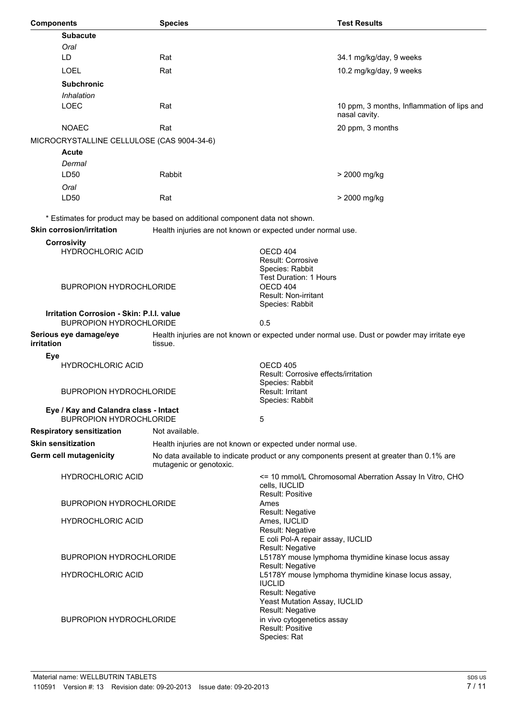| <b>Components</b>                                                       | <b>Species</b>                                                               |                                                                                           | <b>Test Results</b>                                                                         |
|-------------------------------------------------------------------------|------------------------------------------------------------------------------|-------------------------------------------------------------------------------------------|---------------------------------------------------------------------------------------------|
| <b>Subacute</b>                                                         |                                                                              |                                                                                           |                                                                                             |
| Oral                                                                    |                                                                              |                                                                                           |                                                                                             |
| LD                                                                      | Rat                                                                          |                                                                                           | 34.1 mg/kg/day, 9 weeks                                                                     |
| <b>LOEL</b>                                                             | Rat                                                                          |                                                                                           | 10.2 mg/kg/day, 9 weeks                                                                     |
| <b>Subchronic</b>                                                       |                                                                              |                                                                                           |                                                                                             |
| Inhalation                                                              |                                                                              |                                                                                           |                                                                                             |
| <b>LOEC</b>                                                             | Rat                                                                          |                                                                                           | 10 ppm, 3 months, Inflammation of lips and<br>nasal cavity.                                 |
| <b>NOAEC</b>                                                            | Rat                                                                          |                                                                                           | 20 ppm, 3 months                                                                            |
| MICROCRYSTALLINE CELLULOSE (CAS 9004-34-6)                              |                                                                              |                                                                                           |                                                                                             |
| <b>Acute</b>                                                            |                                                                              |                                                                                           |                                                                                             |
| Dermal                                                                  |                                                                              |                                                                                           |                                                                                             |
| LD50                                                                    | Rabbit                                                                       |                                                                                           | > 2000 mg/kg                                                                                |
| Oral                                                                    |                                                                              |                                                                                           |                                                                                             |
| LD50                                                                    | Rat                                                                          |                                                                                           | > 2000 mg/kg                                                                                |
|                                                                         |                                                                              |                                                                                           |                                                                                             |
|                                                                         | * Estimates for product may be based on additional component data not shown. |                                                                                           |                                                                                             |
| <b>Skin corrosion/irritation</b>                                        | Health injuries are not known or expected under normal use.                  |                                                                                           |                                                                                             |
| <b>Corrosivity</b><br><b>HYDROCHLORIC ACID</b>                          |                                                                              | OECD 404<br><b>Result: Corrosive</b><br>Species: Rabbit<br><b>Test Duration: 1 Hours</b>  |                                                                                             |
| <b>BUPROPION HYDROCHLORIDE</b>                                          |                                                                              | OECD 404<br>Result: Non-irritant<br>Species: Rabbit                                       |                                                                                             |
| <b>Irritation Corrosion - Skin: P.I.I. value</b>                        |                                                                              |                                                                                           |                                                                                             |
| <b>BUPROPION HYDROCHLORIDE</b>                                          |                                                                              | 0.5                                                                                       |                                                                                             |
| Serious eye damage/eye<br>irritation                                    | tissue.                                                                      |                                                                                           | Health injuries are not known or expected under normal use. Dust or powder may irritate eye |
| Eye                                                                     |                                                                              |                                                                                           |                                                                                             |
| <b>HYDROCHLORIC ACID</b>                                                |                                                                              | OECD 405                                                                                  |                                                                                             |
|                                                                         |                                                                              | Result: Corrosive effects/irritation                                                      |                                                                                             |
| <b>BUPROPION HYDROCHLORIDE</b>                                          |                                                                              | Species: Rabbit<br>Result: Irritant<br>Species: Rabbit                                    |                                                                                             |
| Eye / Kay and Calandra class - Intact<br><b>BUPROPION HYDROCHLORIDE</b> |                                                                              | 5                                                                                         |                                                                                             |
| <b>Respiratory sensitization</b>                                        | Not available.                                                               |                                                                                           |                                                                                             |
| <b>Skin sensitization</b>                                               | Health injuries are not known or expected under normal use.                  |                                                                                           |                                                                                             |
| <b>Germ cell mutagenicity</b>                                           | mutagenic or genotoxic.                                                      |                                                                                           | No data available to indicate product or any components present at greater than 0.1% are    |
| <b>HYDROCHLORIC ACID</b>                                                |                                                                              | cells, IUCLID<br><b>Result: Positive</b>                                                  | <= 10 mmol/L Chromosomal Aberration Assay In Vitro, CHO                                     |
| <b>BUPROPION HYDROCHLORIDE</b>                                          |                                                                              | Ames<br>Result: Negative                                                                  |                                                                                             |
| <b>HYDROCHLORIC ACID</b>                                                |                                                                              | Ames, IUCLID<br>Result: Negative<br>E coli Pol-A repair assay, IUCLID<br>Result: Negative |                                                                                             |
| <b>BUPROPION HYDROCHLORIDE</b>                                          |                                                                              | Result: Negative                                                                          | L5178Y mouse lymphoma thymidine kinase locus assay                                          |
| <b>HYDROCHLORIC ACID</b>                                                |                                                                              | <b>IUCLID</b><br>Result: Negative<br>Yeast Mutation Assay, IUCLID                         | L5178Y mouse lymphoma thymidine kinase locus assay,                                         |
| <b>BUPROPION HYDROCHLORIDE</b>                                          |                                                                              | Result: Negative<br>in vivo cytogenetics assay<br>Result: Positive<br>Species: Rat        |                                                                                             |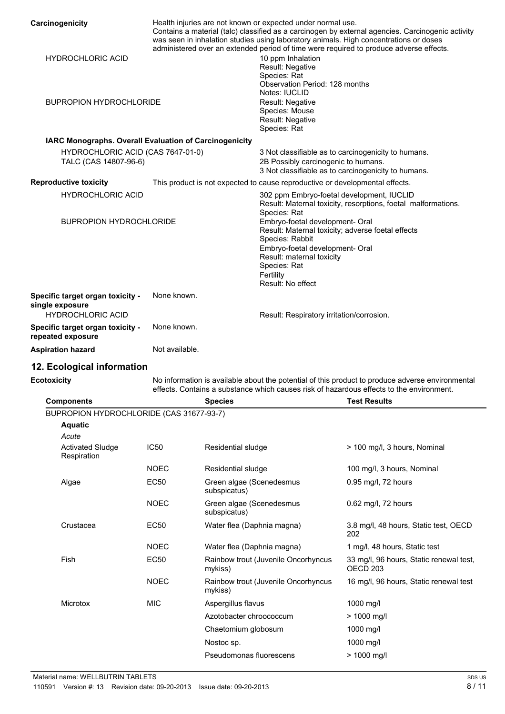| Carcinogenicity                                            |                |                                                                                                                                                                                                                                          | Health injuries are not known or expected under normal use.                                                                                                                                                                               | Contains a material (talc) classified as a carcinogen by external agencies. Carcinogenic activity          |  |
|------------------------------------------------------------|----------------|------------------------------------------------------------------------------------------------------------------------------------------------------------------------------------------------------------------------------------------|-------------------------------------------------------------------------------------------------------------------------------------------------------------------------------------------------------------------------------------------|------------------------------------------------------------------------------------------------------------|--|
| <b>HYDROCHLORIC ACID</b>                                   |                | was seen in inhalation studies using laboratory animals. High concentrations or doses<br>administered over an extended period of time were required to produce adverse effects.<br>10 ppm Inhalation<br>Result: Negative<br>Species: Rat |                                                                                                                                                                                                                                           |                                                                                                            |  |
| <b>BUPROPION HYDROCHLORIDE</b>                             |                |                                                                                                                                                                                                                                          | Observation Period: 128 months<br>Notes: IUCLID<br>Result: Negative<br>Species: Mouse<br>Result: Negative<br>Species: Rat                                                                                                                 |                                                                                                            |  |
| IARC Monographs. Overall Evaluation of Carcinogenicity     |                |                                                                                                                                                                                                                                          |                                                                                                                                                                                                                                           |                                                                                                            |  |
| HYDROCHLORIC ACID (CAS 7647-01-0)<br>TALC (CAS 14807-96-6) |                |                                                                                                                                                                                                                                          | 2B Possibly carcinogenic to humans.                                                                                                                                                                                                       | 3 Not classifiable as to carcinogenicity to humans.<br>3 Not classifiable as to carcinogenicity to humans. |  |
| <b>Reproductive toxicity</b>                               |                |                                                                                                                                                                                                                                          | This product is not expected to cause reproductive or developmental effects.                                                                                                                                                              |                                                                                                            |  |
| <b>HYDROCHLORIC ACID</b>                                   |                |                                                                                                                                                                                                                                          | 302 ppm Embryo-foetal development, IUCLID                                                                                                                                                                                                 | Result: Maternal toxicity, resorptions, foetal malformations.                                              |  |
| <b>BUPROPION HYDROCHLORIDE</b>                             |                |                                                                                                                                                                                                                                          | Species: Rat<br>Embryo-foetal development- Oral<br>Result: Maternal toxicity; adverse foetal effects<br>Species: Rabbit<br>Embryo-foetal development- Oral<br>Result: maternal toxicity<br>Species: Rat<br>Fertility<br>Result: No effect |                                                                                                            |  |
| Specific target organ toxicity -                           | None known.    |                                                                                                                                                                                                                                          |                                                                                                                                                                                                                                           |                                                                                                            |  |
| single exposure<br><b>HYDROCHLORIC ACID</b>                |                |                                                                                                                                                                                                                                          | Result: Respiratory irritation/corrosion.                                                                                                                                                                                                 |                                                                                                            |  |
| Specific target organ toxicity -                           | None known.    |                                                                                                                                                                                                                                          |                                                                                                                                                                                                                                           |                                                                                                            |  |
| repeated exposure                                          |                |                                                                                                                                                                                                                                          |                                                                                                                                                                                                                                           |                                                                                                            |  |
| <b>Aspiration hazard</b>                                   | Not available. |                                                                                                                                                                                                                                          |                                                                                                                                                                                                                                           |                                                                                                            |  |
| 12. Ecological information                                 |                |                                                                                                                                                                                                                                          |                                                                                                                                                                                                                                           |                                                                                                            |  |
| <b>Ecotoxicity</b>                                         |                |                                                                                                                                                                                                                                          |                                                                                                                                                                                                                                           | No information is available about the potential of this product to produce adverse environmental           |  |
|                                                            |                |                                                                                                                                                                                                                                          |                                                                                                                                                                                                                                           | effects. Contains a substance which causes risk of hazardous effects to the environment.                   |  |
| <b>Components</b>                                          |                | <b>Species</b>                                                                                                                                                                                                                           |                                                                                                                                                                                                                                           | <b>Test Results</b>                                                                                        |  |
| BUPROPION HYDROCHLORIDE (CAS 31677-93-7)                   |                |                                                                                                                                                                                                                                          |                                                                                                                                                                                                                                           |                                                                                                            |  |
| <b>Aquatic</b><br>Acute                                    |                |                                                                                                                                                                                                                                          |                                                                                                                                                                                                                                           |                                                                                                            |  |
| <b>Activated Sludge</b><br>Respiration                     | <b>IC50</b>    | Residential sludge                                                                                                                                                                                                                       |                                                                                                                                                                                                                                           | > 100 mg/l, 3 hours, Nominal                                                                               |  |
|                                                            | <b>NOEC</b>    | Residential sludge                                                                                                                                                                                                                       |                                                                                                                                                                                                                                           | 100 mg/l, 3 hours, Nominal                                                                                 |  |
| Algae                                                      | <b>EC50</b>    | Green algae (Scenedesmus<br>subspicatus)                                                                                                                                                                                                 |                                                                                                                                                                                                                                           | 0.95 mg/l, 72 hours                                                                                        |  |
|                                                            | <b>NOEC</b>    | Green algae (Scenedesmus<br>subspicatus)                                                                                                                                                                                                 |                                                                                                                                                                                                                                           | 0.62 mg/l, 72 hours                                                                                        |  |
| Crustacea                                                  | EC50           | Water flea (Daphnia magna)                                                                                                                                                                                                               |                                                                                                                                                                                                                                           | 3.8 mg/l, 48 hours, Static test, OECD<br>202                                                               |  |
|                                                            | <b>NOEC</b>    | Water flea (Daphnia magna)                                                                                                                                                                                                               |                                                                                                                                                                                                                                           | 1 mg/l, 48 hours, Static test                                                                              |  |
| <b>Fish</b>                                                | <b>EC50</b>    | mykiss)                                                                                                                                                                                                                                  | Rainbow trout (Juvenile Oncorhyncus                                                                                                                                                                                                       | 33 mg/l, 96 hours, Static renewal test,<br>OECD <sub>203</sub>                                             |  |
|                                                            | <b>NOEC</b>    | mykiss)                                                                                                                                                                                                                                  | Rainbow trout (Juvenile Oncorhyncus                                                                                                                                                                                                       | 16 mg/l, 96 hours, Static renewal test                                                                     |  |
| Microtox                                                   | <b>MIC</b>     | Aspergillus flavus                                                                                                                                                                                                                       |                                                                                                                                                                                                                                           | 1000 mg/l                                                                                                  |  |
|                                                            |                | Azotobacter chroococcum                                                                                                                                                                                                                  |                                                                                                                                                                                                                                           | $> 1000$ mg/l                                                                                              |  |
|                                                            |                | Chaetomium globosum                                                                                                                                                                                                                      |                                                                                                                                                                                                                                           | 1000 mg/l                                                                                                  |  |
|                                                            |                | Nostoc sp.                                                                                                                                                                                                                               |                                                                                                                                                                                                                                           | 1000 mg/l                                                                                                  |  |
|                                                            |                | Pseudomonas fluorescens                                                                                                                                                                                                                  |                                                                                                                                                                                                                                           | > 1000 mg/l                                                                                                |  |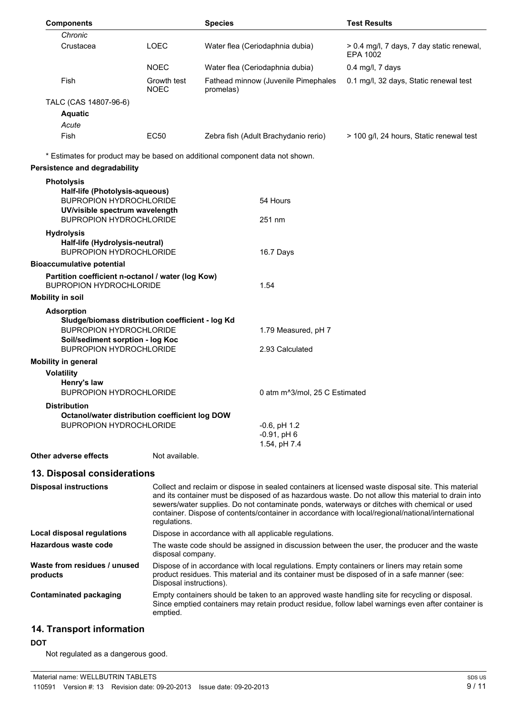| <b>Components</b>                                                                   |                            | <b>Species</b>                                                                                                                                         |                               | <b>Test Results</b>                                                                                |
|-------------------------------------------------------------------------------------|----------------------------|--------------------------------------------------------------------------------------------------------------------------------------------------------|-------------------------------|----------------------------------------------------------------------------------------------------|
| Chronic                                                                             |                            |                                                                                                                                                        |                               |                                                                                                    |
| Crustacea                                                                           | <b>LOEC</b>                | Water flea (Ceriodaphnia dubia)                                                                                                                        |                               | > 0.4 mg/l, 7 days, 7 day static renewal,<br>EPA 1002                                              |
|                                                                                     | <b>NOEC</b>                | Water flea (Ceriodaphnia dubia)                                                                                                                        |                               | 0.4 mg/l, 7 days                                                                                   |
| Fish                                                                                | Growth test<br><b>NOEC</b> | Fathead minnow (Juvenile Pimephales<br>promelas)                                                                                                       |                               | 0.1 mg/l, 32 days, Static renewal test                                                             |
| TALC (CAS 14807-96-6)                                                               |                            |                                                                                                                                                        |                               |                                                                                                    |
| <b>Aquatic</b>                                                                      |                            |                                                                                                                                                        |                               |                                                                                                    |
| Acute                                                                               |                            |                                                                                                                                                        |                               |                                                                                                    |
| Fish                                                                                | <b>EC50</b>                | Zebra fish (Adult Brachydanio rerio)                                                                                                                   |                               | > 100 g/l, 24 hours, Static renewal test                                                           |
| <b>Persistence and degradability</b>                                                |                            | * Estimates for product may be based on additional component data not shown.                                                                           |                               |                                                                                                    |
| <b>Photolysis</b>                                                                   |                            |                                                                                                                                                        |                               |                                                                                                    |
| Half-life (Photolysis-aqueous)                                                      |                            |                                                                                                                                                        |                               |                                                                                                    |
| <b>BUPROPION HYDROCHLORIDE</b>                                                      |                            | 54 Hours                                                                                                                                               |                               |                                                                                                    |
| UV/visible spectrum wavelength                                                      |                            |                                                                                                                                                        |                               |                                                                                                    |
| <b>BUPROPION HYDROCHLORIDE</b>                                                      |                            | 251 nm                                                                                                                                                 |                               |                                                                                                    |
| <b>Hydrolysis</b>                                                                   |                            |                                                                                                                                                        |                               |                                                                                                    |
| Half-life (Hydrolysis-neutral)<br><b>BUPROPION HYDROCHLORIDE</b>                    |                            | 16.7 Days                                                                                                                                              |                               |                                                                                                    |
| <b>Bioaccumulative potential</b>                                                    |                            |                                                                                                                                                        |                               |                                                                                                    |
| Partition coefficient n-octanol / water (log Kow)<br><b>BUPROPION HYDROCHLORIDE</b> |                            | 1.54                                                                                                                                                   |                               |                                                                                                    |
| <b>Mobility in soil</b>                                                             |                            |                                                                                                                                                        |                               |                                                                                                    |
|                                                                                     |                            |                                                                                                                                                        |                               |                                                                                                    |
| <b>Adsorption</b><br>Sludge/biomass distribution coefficient - log Kd               |                            |                                                                                                                                                        |                               |                                                                                                    |
| <b>BUPROPION HYDROCHLORIDE</b>                                                      |                            |                                                                                                                                                        | 1.79 Measured, pH 7           |                                                                                                    |
| Soil/sediment sorption - log Koc                                                    |                            |                                                                                                                                                        |                               |                                                                                                    |
| <b>BUPROPION HYDROCHLORIDE</b>                                                      |                            | 2.93 Calculated                                                                                                                                        |                               |                                                                                                    |
| <b>Mobility in general</b>                                                          |                            |                                                                                                                                                        |                               |                                                                                                    |
| <b>Volatility</b>                                                                   |                            |                                                                                                                                                        |                               |                                                                                                    |
| Henry's law<br><b>BUPROPION HYDROCHLORIDE</b>                                       |                            |                                                                                                                                                        | 0 atm m^3/mol, 25 C Estimated |                                                                                                    |
| <b>Distribution</b>                                                                 |                            |                                                                                                                                                        |                               |                                                                                                    |
| Octanol/water distribution coefficient log DOW<br><b>BUPROPION HYDROCHLORIDE</b>    |                            | $-0.6$ , pH $1.2$                                                                                                                                      |                               |                                                                                                    |
|                                                                                     |                            | $-0.91$ , pH $6$                                                                                                                                       |                               |                                                                                                    |
|                                                                                     |                            | 1.54, pH 7.4                                                                                                                                           |                               |                                                                                                    |
| Other adverse effects                                                               | Not available.             |                                                                                                                                                        |                               |                                                                                                    |
| 13. Disposal considerations                                                         |                            |                                                                                                                                                        |                               |                                                                                                    |
| <b>Disposal instructions</b>                                                        |                            |                                                                                                                                                        |                               | Collect and reclaim or dispose in sealed containers at licensed waste disposal site. This material |
|                                                                                     |                            |                                                                                                                                                        |                               | and its container must be disposed of as hazardous waste. Do not allow this material to drain into |
|                                                                                     |                            |                                                                                                                                                        |                               | sewers/water supplies. Do not contaminate ponds, waterways or ditches with chemical or used        |
|                                                                                     | regulations.               |                                                                                                                                                        |                               | container. Dispose of contents/container in accordance with local/regional/national/international  |
| Local disposal regulations                                                          |                            |                                                                                                                                                        |                               |                                                                                                    |
| Hazardous waste code                                                                |                            | Dispose in accordance with all applicable regulations.<br>The waste code should be assigned in discussion between the user, the producer and the waste |                               |                                                                                                    |
|                                                                                     | disposal company.          |                                                                                                                                                        |                               |                                                                                                    |
| Waste from residues / unused                                                        |                            |                                                                                                                                                        |                               | Dispose of in accordance with local regulations. Empty containers or liners may retain some        |
| products                                                                            |                            | product residues. This material and its container must be disposed of in a safe manner (see:<br>Disposal instructions).                                |                               |                                                                                                    |
| <b>Contaminated packaging</b>                                                       |                            | Empty containers should be taken to an approved waste handling site for recycling or disposal.                                                         |                               |                                                                                                    |
|                                                                                     |                            |                                                                                                                                                        |                               | Since emptied containers may retain product residue, follow label warnings even after container is |
|                                                                                     | emptied.                   |                                                                                                                                                        |                               |                                                                                                    |
| 14. Transport information                                                           |                            |                                                                                                                                                        |                               |                                                                                                    |

#### **DOT**

Not regulated as a dangerous good.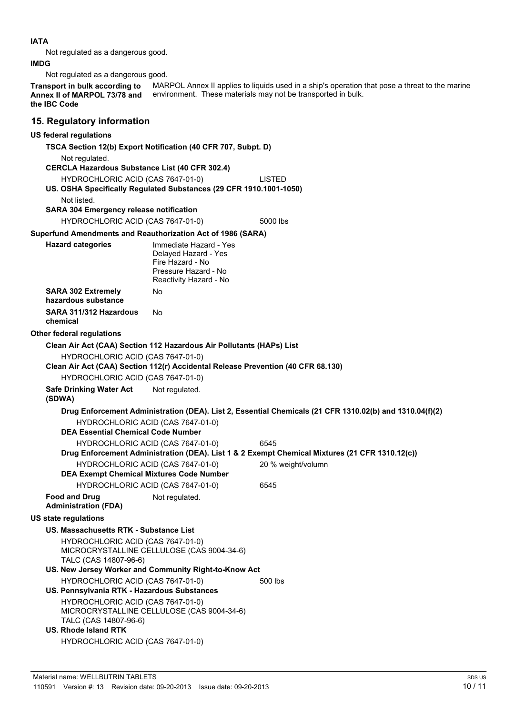## **IATA**

Not regulated as a dangerous good.

## **IMDG**

Not regulated as a dangerous good.

MARPOL Annex II applies to liquids used in a ship's operation that pose a threat to the marine environment. These materials may not be transported in bulk. **Transport in bulk according to Annex II of MARPOL 73/78 and the IBC Code**

## **15. Regulatory information**

## **US federal regulations**

**TSCA Section 12(b) Export Notification (40 CFR 707, Subpt. D)** Not regulated. **CERCLA Hazardous Substance List (40 CFR 302.4)** HYDROCHLORIC ACID (CAS 7647-01-0) LISTED **US. OSHA Specifically Regulated Substances (29 CFR 1910.1001-1050)** Not listed. **SARA 304 Emergency release notification** HYDROCHLORIC ACID (CAS 7647-01-0) 5000 lbs **Superfund Amendments and Reauthorization Act of 1986 (SARA) Hazard categories** Immediate Hazard - Yes Delayed Hazard - Yes Fire Hazard - No Pressure Hazard - No

Reactivity Hazard - No **SARA 302 Extremely hazardous substance** No **SARA 311/312 Hazardous chemical** No

#### **Other federal regulations**

**Clean Air Act (CAA) Section 112 Hazardous Air Pollutants (HAPs) List**

HYDROCHLORIC ACID (CAS 7647-01-0)

**Clean Air Act (CAA) Section 112(r) Accidental Release Prevention (40 CFR 68.130)**

HYDROCHLORIC ACID (CAS 7647-01-0)

**Safe Drinking Water Act** Not regulated.

**(SDWA)**

**Drug Enforcement Administration (DEA). List 2, Essential Chemicals (21 CFR 1310.02(b) and 1310.04(f)(2)** HYDROCHLORIC ACID (CAS 7647-01-0) **DEA Essential Chemical Code Number** HYDROCHLORIC ACID (CAS 7647-01-0) 6545 **Drug Enforcement Administration (DEA). List 1 & 2 Exempt Chemical Mixtures (21 CFR 1310.12(c))** HYDROCHLORIC ACID (CAS 7647-01-0) 20 % weight/volumn **DEA Exempt Chemical Mixtures Code Number**

HYDROCHLORIC ACID (CAS 7647-01-0) 6545 **Food and Drug**

**Administration (FDA)**

## **US state regulations**

#### **US. Massachusetts RTK - Substance List**

HYDROCHLORIC ACID (CAS 7647-01-0) MICROCRYSTALLINE CELLULOSE (CAS 9004-34-6) TALC (CAS 14807-96-6)

**US. New Jersey Worker and Community Right-to-Know Act** HYDROCHLORIC ACID (CAS 7647-01-0) 500 lbs

Not regulated.

**US. Pennsylvania RTK - Hazardous Substances** HYDROCHLORIC ACID (CAS 7647-01-0) MICROCRYSTALLINE CELLULOSE (CAS 9004-34-6) TALC (CAS 14807-96-6)

## **US. Rhode Island RTK** HYDROCHLORIC ACID (CAS 7647-01-0)